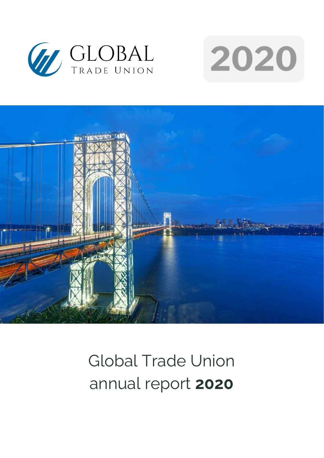





# Global Trade Union annual report **2020**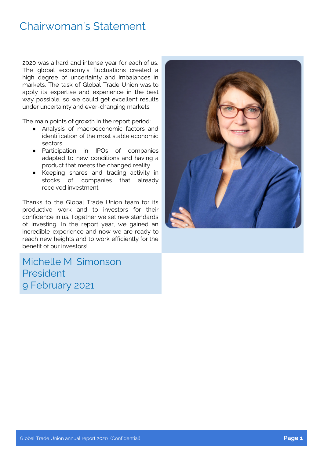### Chairwoman's Statement

2020 was a hard and intense year for each of us. The global economy's fluctuations created a high degree of uncertainty and imbalances in markets. The task of Global Trade Union was to apply its expertise and experience in the best way possible, so we could get excellent results under uncertainty and ever-changing markets.

The main points of growth in the report period:

- Analysis of macroeconomic factors and identification of the most stable economic sectors.
- Participation in IPOs of companies adapted to new conditions and having a product that meets the changed reality.
- Keeping shares and trading activity in stocks of companies that already received investment.

Thanks to the Global Trade Union team for its productive work and to investors for their confidence in us. Together we set new standards of investing. In the report year, we gained an incredible experience and now we are ready to reach new heights and to work efficiently for the benefit of our investors!

Michelle M. Simonson President 9 February 2021

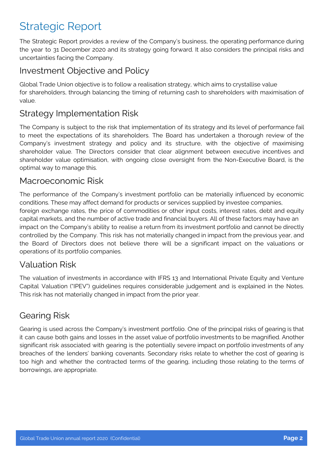# Strategic Report

The Strategic Report provides a review of the Company's business, the operating performance during the year to 31 December 2020 and its strategy going forward. It also considers the principal risks and uncertainties facing the Company.

### Investment Objective and Policy

Global Trade Union objective is to follow a realisation strategy, which aims to crystallise value for shareholders, through balancing the timing of returning cash to shareholders with maximisation of value.

### Strategy Implementation Risk

The Company is subject to the risk that implementation of its strategy and its level of performance fail to meet the expectations of its shareholders. The Board has undertaken a thorough review of the Company's investment strategy and policy and its structure, with the objective of maximising shareholder value. The Directors consider that clear alignment between executive incentives and shareholder value optimisation, with ongoing close oversight from the Non-Executive Board, is the optimal way to manage this.

#### Macroeconomic Risk

The performance of the Company's investment portfolio can be materially influenced by economic conditions. These may affect demand for products or services supplied by investee companies, foreign exchange rates, the price of commodities or other input costs, interest rates, debt and equity capital markets, and the number of active trade and financial buyers. All of these factors may have an impact on the Company's ability to realise a return from its investment portfolio and cannot be directly controlled by the Company. This risk has not materially changed in impact from the previous year, and the Board of Directors does not believe there will be a significant impact on the valuations or operations of its portfolio companies.

### Valuation Risk

The valuation of investments in accordance with IFRS 13 and International Private Equity and Venture Capital Valuation ("IPEV") guidelines requires considerable judgement and is explained in the Notes. This risk has not materially changed in impact from the prior year.

### Gearing Risk

Gearing is used across the Company's investment portfolio. One of the principal risks of gearing is that it can cause both gains and losses in the asset value of portfolio investments to be magnified. Another significant risk associated with gearing is the potentially severe impact on portfolio investments of any breaches of the lenders' banking covenants. Secondary risks relate to whether the cost of gearing is too high and whether the contracted terms of the gearing, including those relating to the terms of borrowings, are appropriate.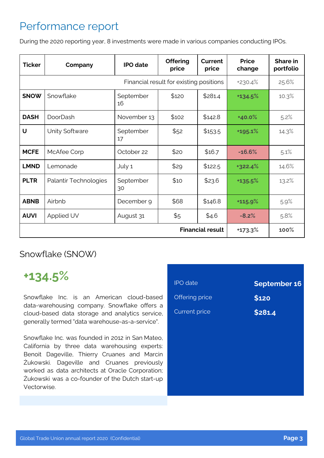# Performance report

During the 2020 reporting year, 8 investments were made in various companies conducting IPOs.

| <b>Ticker</b>                           | Company               | <b>IPO</b> date | <b>Offering</b><br>price | Current<br>price | <b>Price</b><br>change | Share in<br>portfolio |
|-----------------------------------------|-----------------------|-----------------|--------------------------|------------------|------------------------|-----------------------|
| Financial result for existing positions |                       |                 |                          | +230.4%          | 25.6%                  |                       |
| <b>SNOW</b>                             | Snowflake             | September<br>16 | \$120                    | \$281.4          | +134.5%                | 10.3%                 |
| <b>DASH</b>                             | <b>DoorDash</b>       | November 13     | \$102                    | \$142.8          | +40.0%                 | 5.2%                  |
| U                                       | Unity Software        | September<br>17 | \$52                     | \$153.5          | +195.1%                | 14.3%                 |
| <b>MCFE</b>                             | McAfee Corp           | October 22      | \$20                     | \$16.7           | $-16.6%$               | 5.1%                  |
| <b>LMND</b>                             | Lemonade              | July 1          | \$29                     | \$122.5          | +322.4%                | 14.6%                 |
| <b>PLTR</b>                             | Palantir Technologies | September<br>30 | \$10                     | \$23.6           | +135.5%                | 13.2%                 |
| <b>ABNB</b>                             | Airbnb                | December 9      | \$68                     | \$146.8          | +115.9%                | 5.9%                  |
| <b>AUVI</b>                             | Applied UV            | August 31       | \$5                      | \$4.6            | $-8.2%$                | 5.8%                  |
| <b>Financial result</b>                 |                       |                 |                          | +173.3%          | 100%                   |                       |

Snowflake (SNOW)

# **+134.5%**

Snowflake Inc. is an American cloud-based data-warehousing company. Snowflake offers a cloud-based data storage and analytics service, generally termed "data warehouse-as-a-service".

Snowflake Inc. was founded in 2012 in San Mateo, California by three data warehousing experts: Benoit Dageville, Thierry Cruanes and Marcin Żukowski. Dageville and Cruanes previously worked as data architects at Oracle Corporation; Żukowski was a co-founder of the Dutch start-up Vectorwise.

| <b>IPO</b> date      | <b>September 16</b> |
|----------------------|---------------------|
| Offering price       | \$120               |
| <b>Current price</b> | \$281.4             |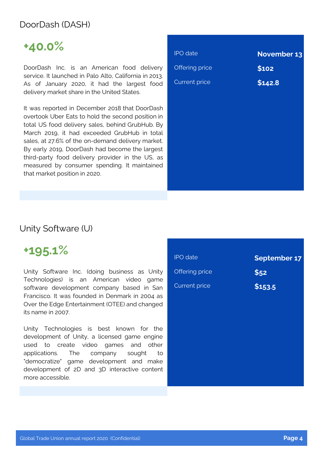### DoorDash (DASH)

# **+40.0%**

DoorDash Inc. is an American food delivery service. It launched in Palo Alto, California in 2013. As of January 2020, it had the largest food delivery market share in the United States.

It was reported in December 2018 that DoorDash overtook Uber Eats to hold the second position in total US food delivery sales, behind GrubHub. By March 2019, it had exceeded GrubHub in total sales, at 27.6% of the on-demand delivery market. By early 2019, DoorDash had become the largest third-party food delivery provider in the US, as measured by consumer spending. It maintained that market position in 2020.

| November 13 |
|-------------|
|             |
|             |
|             |
|             |
|             |
|             |
|             |
|             |
|             |

#### Unity Software (U)

### **+195.1%**

Unity Software Inc. (doing business as Unity Technologies) is an American video game software development company based in San Francisco. It was founded in Denmark in 2004 as Over the Edge Entertainment (OTEE) and changed its name in 2007.

Unity Technologies is best known for the development of Unity, a licensed game engine used to create video games and other applications. The company sought to "democratize" game development and make development of 2D and 3D interactive content more accessible.

| <b>IPO</b> date      | September 17 |
|----------------------|--------------|
| Offering price       | \$52         |
| <b>Current price</b> | \$153.5      |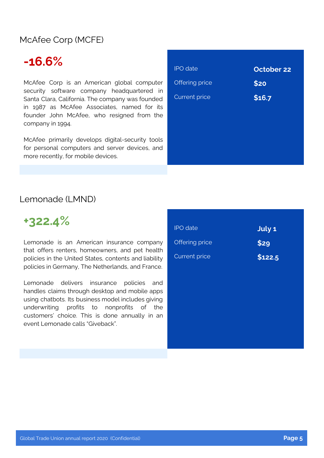### McAfee Corp (MCFE)

# **-16.6%**

McAfee Corp is an American global computer security software company headquartered in Santa Clara, California. The company was founded in 1987 as McAfee Associates, named for its founder John McAfee, who resigned from the company in 1994.

McAfee primarily develops digital-security tools for personal computers and server devices, and more recently, for mobile devices.

| <b>October 22</b> |
|-------------------|
| \$20              |
| \$16.7            |
|                   |
|                   |
|                   |
|                   |
|                   |

#### Lemonade (LMND)



Lemonade is an American insurance company that offers renters, homeowners, and pet health policies in the United States, contents and liability policies in Germany, The Netherlands, and France.

Lemonade delivers insurance policies and handles claims through desktop and mobile apps using chatbots. Its business model includes giving underwriting profits to nonprofits of the customers' choice. This is done annually in an event Lemonade calls "Giveback".

| <b>IPO</b> date      | July 1  |
|----------------------|---------|
| Offering price       | \$29    |
| <b>Current price</b> |         |
|                      | \$122.5 |
|                      |         |
|                      |         |
|                      |         |
|                      |         |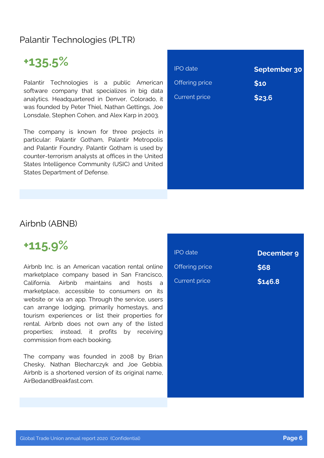### Palantir Technologies (PLTR)

# **+135.5%**

Palantir Technologies is a public American software company that specializes in big data analytics. Headquartered in Denver, Colorado, it was founded by Peter Thiel, Nathan Gettings, Joe Lonsdale, Stephen Cohen, and Alex Karp in 2003.

The company is known for three projects in particular: Palantir Gotham, Palantir Metropolis and Palantir Foundry. Palantir Gotham is used by counter-terrorism analysts at offices in the United States Intelligence Community (USIC) and United States Department of Defense.

| <b>IPO</b> date      | September 30 |
|----------------------|--------------|
| Offering price       | \$10         |
| <b>Current price</b> | \$23.6       |
|                      |              |
|                      |              |
|                      |              |
|                      |              |
|                      |              |
|                      |              |

### Airbnb (ABNB)

### **+115.9%**

Airbnb Inc. is an American vacation rental online marketplace company based in San Francisco, California. Airbnb maintains and hosts a marketplace, accessible to consumers on its website or via an app. Through the service, users can arrange lodging, primarily homestays, and tourism experiences or list their properties for rental. Airbnb does not own any of the listed properties; instead, it profits by receiving commission from each booking.

The company was founded in 2008 by Brian Chesky, Nathan Blecharczyk and Joe Gebbia. Airbnb is a shortened version of its original name, AirBedandBreakfast.com.

| <b>IPO</b> date      | December 9 |
|----------------------|------------|
| Offering price       | \$68       |
| <b>Current price</b> | \$146.8    |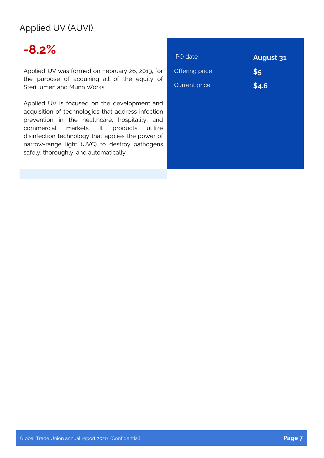### Applied UV (AUVI)

# **-8.2%**

Applied UV was formed on February 26, 2019, for the purpose of acquiring all of the equity of SteriLumen and Munn Works.

Applied UV is focused on the development and acquisition of technologies that address infection prevention in the healthcare, hospitality, and commercial markets. It products utilize disinfection technology that applies the power of narrow-range light (UVC) to destroy pathogens safely, thoroughly, and automatically.

| <b>IPO</b> date      | <b>August 31</b> |
|----------------------|------------------|
| Offering price       | \$5              |
| <b>Current price</b> | \$4.6            |
|                      |                  |
|                      |                  |
|                      |                  |
|                      |                  |
|                      |                  |
|                      |                  |